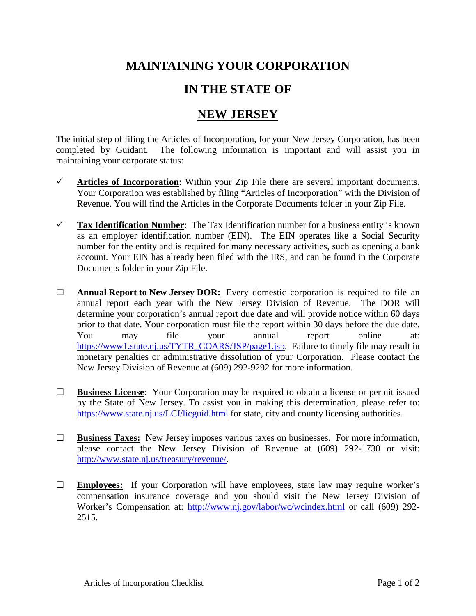## **MAINTAINING YOUR CORPORATION**

## **IN THE STATE OF**

## **NEW JERSEY**

The initial step of filing the Articles of Incorporation, for your New Jersey Corporation, has been completed by Guidant. The following information is important and will assist you in maintaining your corporate status:

- $\checkmark$  Articles of Incorporation: Within your Zip File there are several important documents. Your Corporation was established by filing "Articles of Incorporation" with the Division of Revenue. You will find the Articles in the Corporate Documents folder in your Zip File.
- **Tax Identification Number**: The Tax Identification number for a business entity is known as an employer identification number (EIN). The EIN operates like a Social Security number for the entity and is required for many necessary activities, such as opening a bank account. Your EIN has already been filed with the IRS, and can be found in the Corporate Documents folder in your Zip File.
- **□ Annual Report to New Jersey DOR:** Every domestic corporation is required to file an annual report each year with the New Jersey Division of Revenue. The DOR will determine your corporation's annual report due date and will provide notice within 60 days prior to that date. Your corporation must file the report within 30 days before the due date. You may file your annual report online at: [https://www1.state.nj.us/TYTR\\_COARS/JSP/page1.jsp.](https://www1.state.nj.us/TYTR_COARS/JSP/page1.jsp) Failure to timely file may result in monetary penalties or administrative dissolution of your Corporation. Please contact the New Jersey Division of Revenue at (609) 292-9292 for more information.
- **□ Business License**: Your Corporation may be required to obtain a license or permit issued by the State of New Jersey. To assist you in making this determination, please refer to: <https://www.state.nj.us/LCI/licguid.html> for state, city and county licensing authorities.
- **□ Business Taxes:** New Jersey imposes various taxes on businesses. For more information, please contact the New Jersey Division of Revenue at (609) 292-1730 or visit: [http://www.state.nj.us/treasury/revenue/.](http://www.state.nj.us/treasury/revenue/)
- **□ Employees:** If your Corporation will have employees, state law may require worker's compensation insurance coverage and you should visit the New Jersey Division of Worker's Compensation at: <http://www.nj.gov/labor/wc/wcindex.html> or call (609) 292- 2515.